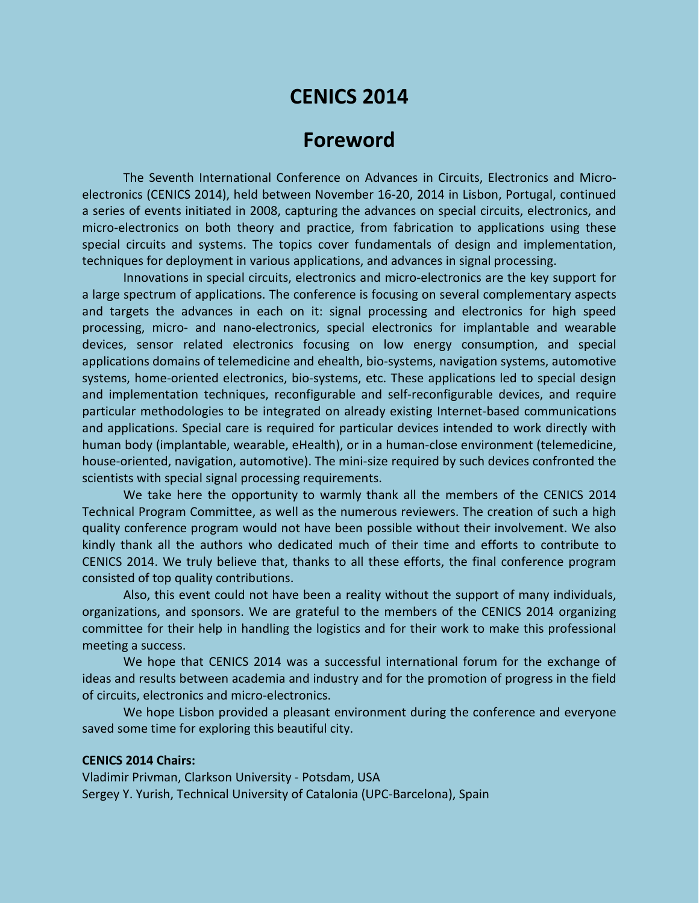# **CENICS 2014**

## **Foreword**

The Seventh International Conference on Advances in Circuits, Electronics and Microelectronics (CENICS 2014), held between November 16-20, 2014 in Lisbon, Portugal, continued a series of events initiated in 2008, capturing the advances on special circuits, electronics, and micro-electronics on both theory and practice, from fabrication to applications using these special circuits and systems. The topics cover fundamentals of design and implementation, techniques for deployment in various applications, and advances in signal processing.

Innovations in special circuits, electronics and micro-electronics are the key support for a large spectrum of applications. The conference is focusing on several complementary aspects and targets the advances in each on it: signal processing and electronics for high speed processing, micro- and nano-electronics, special electronics for implantable and wearable devices, sensor related electronics focusing on low energy consumption, and special applications domains of telemedicine and ehealth, bio-systems, navigation systems, automotive systems, home-oriented electronics, bio-systems, etc. These applications led to special design and implementation techniques, reconfigurable and self-reconfigurable devices, and require particular methodologies to be integrated on already existing Internet-based communications and applications. Special care is required for particular devices intended to work directly with human body (implantable, wearable, eHealth), or in a human-close environment (telemedicine, house-oriented, navigation, automotive). The mini-size required by such devices confronted the scientists with special signal processing requirements.

We take here the opportunity to warmly thank all the members of the CENICS 2014 Technical Program Committee, as well as the numerous reviewers. The creation of such a high quality conference program would not have been possible without their involvement. We also kindly thank all the authors who dedicated much of their time and efforts to contribute to CENICS 2014. We truly believe that, thanks to all these efforts, the final conference program consisted of top quality contributions.

Also, this event could not have been a reality without the support of many individuals, organizations, and sponsors. We are grateful to the members of the CENICS 2014 organizing committee for their help in handling the logistics and for their work to make this professional meeting a success.

We hope that CENICS 2014 was a successful international forum for the exchange of ideas and results between academia and industry and for the promotion of progress in the field of circuits, electronics and micro-electronics.

We hope Lisbon provided a pleasant environment during the conference and everyone saved some time for exploring this beautiful city.

#### **CENICS 2014 Chairs:**

Vladimir Privman, Clarkson University - Potsdam, USA Sergey Y. Yurish, Technical University of Catalonia (UPC-Barcelona), Spain